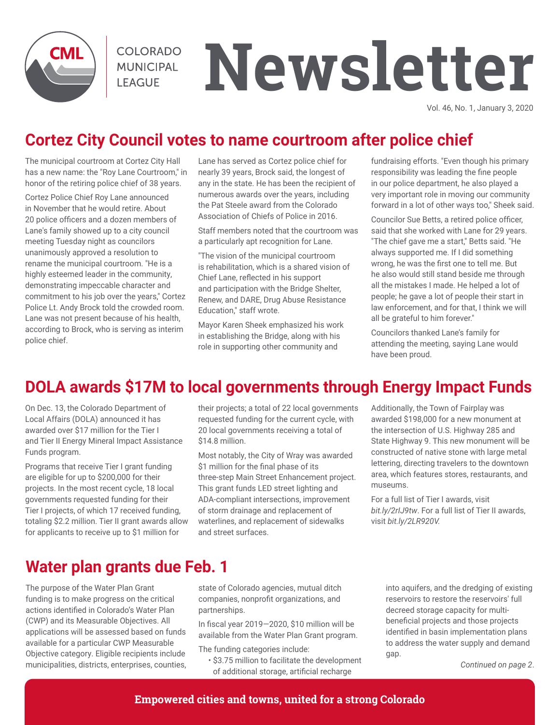

**COLORADO MUNICIPAL LEAGUE** 

# **Newsletter**

Vol. 46, No. 1, January 3, 2020

# **Cortez City Council votes to name courtroom after police chief**

The municipal courtroom at Cortez City Hall has a new name: the "Roy Lane Courtroom," in honor of the retiring police chief of 38 years.

Cortez Police Chief Roy Lane announced in November that he would retire. About 20 police officers and a dozen members of Lane's family showed up to a city council meeting Tuesday night as councilors unanimously approved a resolution to rename the municipal courtroom. "He is a highly esteemed leader in the community, demonstrating impeccable character and commitment to his job over the years," Cortez Police Lt. Andy Brock told the crowded room. Lane was not present because of his health, according to Brock, who is serving as interim police chief.

Lane has served as Cortez police chief for nearly 39 years, Brock said, the longest of any in the state. He has been the recipient of numerous awards over the years, including the Pat Steele award from the Colorado Association of Chiefs of Police in 2016.

Staff members noted that the courtroom was a particularly apt recognition for Lane.

"The vision of the municipal courtroom is rehabilitation, which is a shared vision of Chief Lane, reflected in his support and participation with the Bridge Shelter, Renew, and DARE, Drug Abuse Resistance Education," staff wrote.

Mayor Karen Sheek emphasized his work in establishing the Bridge, along with his role in supporting other community and

fundraising efforts. "Even though his primary responsibility was leading the fine people in our police department, he also played a very important role in moving our community forward in a lot of other ways too," Sheek said.

Councilor Sue Betts, a retired police officer, said that she worked with Lane for 29 years. "The chief gave me a start," Betts said. "He always supported me. If I did something wrong, he was the first one to tell me. But he also would still stand beside me through all the mistakes I made. He helped a lot of people; he gave a lot of people their start in law enforcement, and for that, I think we will all be grateful to him forever."

Councilors thanked Lane's family for attending the meeting, saying Lane would have been proud.

# **DOLA awards \$17M to local governments through Energy Impact Funds**

On Dec. 13, the Colorado Department of Local Affairs (DOLA) announced it has awarded over \$17 million for the Tier I and Tier II Energy Mineral Impact Assistance Funds program.

Programs that receive Tier I grant funding are eligible for up to \$200,000 for their projects. In the most recent cycle, 18 local governments requested funding for their Tier I projects, of which 17 received funding, totaling \$2.2 million. Tier II grant awards allow for applicants to receive up to \$1 million for

their projects; a total of 22 local governments requested funding for the current cycle, with 20 local governments receiving a total of \$14.8 million.

Most notably, the City of Wray was awarded \$1 million for the final phase of its three-step Main Street Enhancement project. This grant funds LED street lighting and ADA-compliant intersections, improvement of storm drainage and replacement of waterlines, and replacement of sidewalks and street surfaces.

Additionally, the Town of Fairplay was awarded \$198,000 for a new monument at the intersection of U.S. Highway 285 and State Highway 9. This new monument will be constructed of native stone with large metal lettering, directing travelers to the downtown area, which features stores, restaurants, and museums.

For a full list of Tier I awards, visit *bit.ly/2rIJ9tw*. For a full list of Tier II awards, visit *bit.ly/2LR920V.*

# **Water plan grants due Feb. 1**

The purpose of the Water Plan Grant funding is to make progress on the critical actions identified in Colorado's Water Plan (CWP) and its Measurable Objectives. All applications will be assessed based on funds available for a particular CWP Measurable Objective category. Eligible recipients include municipalities, districts, enterprises, counties,

state of Colorado agencies, mutual ditch companies, nonprofit organizations, and partnerships.

In fiscal year 2019—2020, \$10 million will be available from the Water Plan Grant program.

The funding categories include:

• \$3.75 million to facilitate the development of additional storage, artificial recharge

into aquifers, and the dredging of existing reservoirs to restore the reservoirs' full decreed storage capacity for multibeneficial projects and those projects identified in basin implementation plans to address the water supply and demand gap.

*Continued on page 2*.

### **Empowered cities and towns, united for a strong Colorado**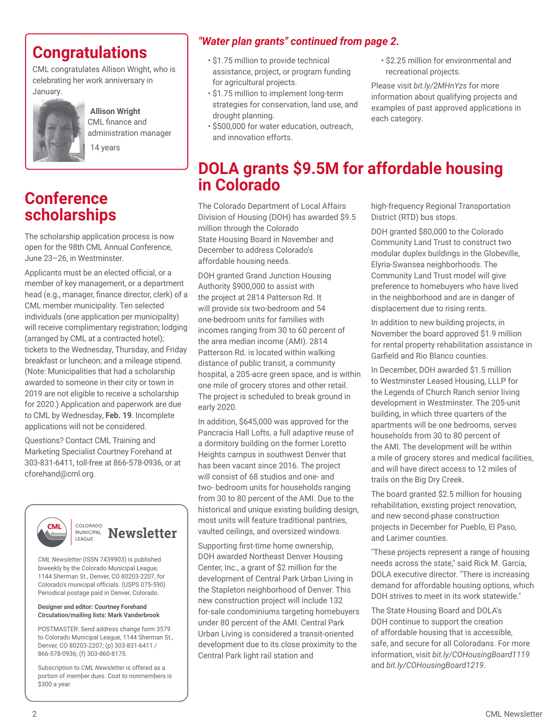CML congratulates Allison Wright, who is celebrating her work anniversary in January.



**Allison Wright** CML finance and administration manager 14 years

# **Conference scholarships**

The scholarship application process is now open for the 98th CML Annual Conference, June 23–26, in Westminster.

Applicants must be an elected official, or a member of key management, or a department head (e.g., manager, finance director, clerk) of a CML member municipality. Ten selected individuals (one application per municipality) will receive complimentary registration; lodging (arranged by CML at a contracted hotel); tickets to the Wednesday, Thursday, and Friday breakfast or luncheon; and a mileage stipend. (Note: Municipalities that had a scholarship awarded to someone in their city or town in 2019 are not eligible to receive a scholarship for 2020.) Application and paperwork are due to CML by Wednesday, **Feb. 19**. Incomplete applications will not be considered.

Questions? Contact CML Training and Marketing Specialist Courtney Forehand at 303-831-6411, toll-free at 866-578-0936, or at cforehand@cml.org.





*CML Newsletter* (ISSN 7439903) is published biweekly by the Colorado Municipal League, 1144 Sherman St., Denver, CO 80203-2207, for Colorado's municipal officials. (USPS 075-590) Periodical postage paid in Denver, Colorado.

### **Designer and editor: Courtney Forehand Circulation/mailing lists: Mark Vanderbrook**

POSTMASTER: Send address change form 3579 to Colorado Municipal League, 1144 Sherman St., Denver, CO 80203-2207; (p) 303-831-6411 / 866-578-0936; (f) 303-860-8175.

Subscription to *CML* Newsletter is offered as a portion of member dues. Cost to nonmembers is \$300 a year.

# *"Water plan grants" continued from page 2.*

- \$1.75 million to provide technical assistance, project, or program funding for agricultural projects.
- \$1.75 million to implement long-term strategies for conservation, land use, and drought planning.
- \$500,000 for water education, outreach, and innovation efforts.
- \$2.25 million for environmental and recreational projects.

Please visit *bit.ly/2MHnYzs* for more information about qualifying projects and examples of past approved applications in each category.

# **DOLA grants \$9.5M for affordable housing in Colorado**

The Colorado Department of Local Affairs Division of Housing (DOH) has awarded \$9.5 million through the Colorado State Housing Board in November and December to address Colorado's affordable housing needs.

DOH granted Grand Junction Housing Authority \$900,000 to assist with the project at 2814 Patterson Rd. It will provide six two-bedroom and 54 one-bedroom units for families with incomes ranging from 30 to 60 percent of the area median income (AMI). 2814 Patterson Rd. is located within walking distance of public transit, a community hospital, a 205-acre green space, and is within one mile of grocery stores and other retail. The project is scheduled to break ground in early 2020.

In addition, \$645,000 was approved for the Pancracia Hall Lofts, a full adaptive reuse of a dormitory building on the former Loretto Heights campus in southwest Denver that has been vacant since 2016. The project will consist of 68 studios and one- and two- bedroom units for households ranging from 30 to 80 percent of the AMI. Due to the historical and unique existing building design, most units will feature traditional pantries, vaulted ceilings, and oversized windows.

Supporting first-time home ownership, DOH awarded Northeast Denver Housing Center, Inc., a grant of \$2 million for the development of Central Park Urban Living in the Stapleton neighborhood of Denver. This new construction project will include 132 for-sale condominiums targeting homebuyers under 80 percent of the AMI. Central Park Urban Living is considered a transit-oriented development due to its close proximity to the Central Park light rail station and

high-frequency Regional Transportation District (RTD) bus stops.

DOH granted \$80,000 to the Colorado Community Land Trust to construct two modular duplex buildings in the Globeville, Elyria-Swansea neighborhoods. The Community Land Trust model will give preference to homebuyers who have lived in the neighborhood and are in danger of displacement due to rising rents.

In addition to new building projects, in November the board approved \$1.9 million for rental property rehabilitation assistance in Garfield and Rio Blanco counties.

In December, DOH awarded \$1.5 million to Westminster Leased Housing, LLLP for the Legends of Church Ranch senior living development in Westminster. The 205-unit building, in which three quarters of the apartments will be one bedrooms, serves households from 30 to 80 percent of the AMI. The development will be within a mile of grocery stores and medical facilities, and will have direct access to 12 miles of trails on the Big Dry Creek.

The board granted \$2.5 million for housing rehabilitation, existing project renovation, and new second-phase construction projects in December for Pueblo, El Paso, and Larimer counties.

"These projects represent a range of housing needs across the state," said Rick M. Garcia, DOLA executive director. "There is increasing demand for affordable housing options, which DOH strives to meet in its work statewide."

The State Housing Board and DOLA's DOH continue to support the creation of affordable housing that is accessible, safe, and secure for all Coloradans. For more information, visit *bit.ly/COHousingBoard1119* and *bit.ly/COHousingBoard1219*.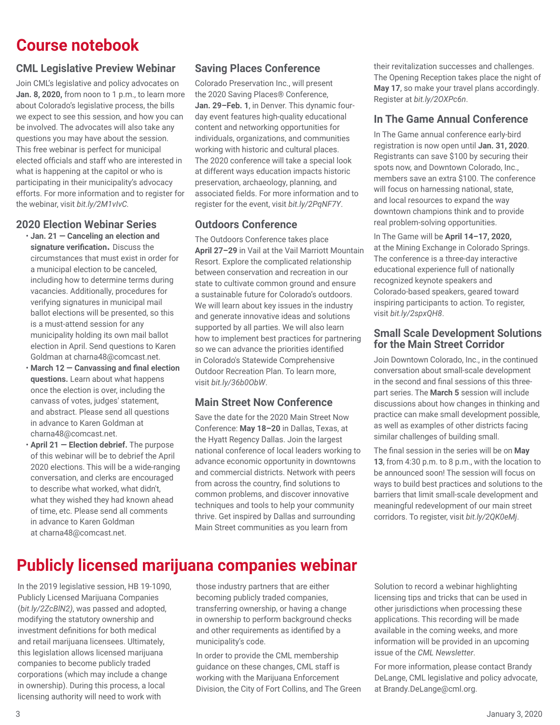# **Course notebook**

# **CML Legislative Preview Webinar**

Join CML's legislative and policy advocates on **Jan. 8, 2020,** from noon to 1 p.m., to learn more about Colorado's legislative process, the bills we expect to see this session, and how you can be involved. The advocates will also take any questions you may have about the session. This free webinar is perfect for municipal elected officials and staff who are interested in what is happening at the capitol or who is participating in their municipality's advocacy efforts. For more information and to register for the webinar, visit *bit.ly/2M1vIvC.* 

### **2020 Election Webinar Series**

- **Jan. 21 Canceling an election and signature verification.** Discuss the circumstances that must exist in order for a municipal election to be canceled, including how to determine terms during vacancies. Additionally, procedures for verifying signatures in municipal mail ballot elections will be presented, so this is a must-attend session for any municipality holding its own mail ballot election in April. Send questions to Karen Goldman at charna48@comcast.net.
- **March 12 Canvassing and final election questions.** Learn about what happens once the election is over, including the canvass of votes, judges' statement, and abstract. Please send all questions in advance to Karen Goldman at charna48@comcast.net.
- **April 21 Election debrief.** The purpose of this webinar will be to debrief the April 2020 elections. This will be a wide-ranging conversation, and clerks are encouraged to describe what worked, what didn't, what they wished they had known ahead of time, etc. Please send all comments in advance to Karen Goldman at charna48@comcast.net.

# **Saving Places Conference**

Colorado Preservation Inc., will present the 2020 Saving Places® Conference, **Jan. 29–Feb. 1**, in Denver. This dynamic fourday event features high-quality educational content and networking opportunities for individuals, organizations, and communities working with historic and cultural places. The 2020 conference will take a special look at different ways education impacts historic preservation, archaeology, planning, and associated fields. For more information and to register for the event, visit *bit.ly/2PqNF7Y*.

### **Outdoors Conference**

The Outdoors Conference takes place **April 27–29** in Vail at the Vail Marriott Mountain Resort. Explore the complicated relationship between conservation and recreation in our state to cultivate common ground and ensure a sustainable future for Colorado's outdoors. We will learn about key issues in the industry and generate innovative ideas and solutions supported by all parties. We will also learn how to implement best practices for partnering so we can advance the priorities identified in Colorado's Statewide Comprehensive Outdoor Recreation Plan. To learn more, visit *bit.ly/36b0ObW*.

### **Main Street Now Conference**

Save the date for the 2020 Main Street Now Conference: **May 18–20** in Dallas, Texas, at the Hyatt Regency Dallas. Join the largest national conference of local leaders working to advance economic opportunity in downtowns and commercial districts. Network with peers from across the country, find solutions to common problems, and discover innovative techniques and tools to help your community thrive. Get inspired by Dallas and surrounding Main Street communities as you learn from

their revitalization successes and challenges. The Opening Reception takes place the night of **May 17**, so make your travel plans accordingly. Register at *bit.ly/2OXPc6n*.

### **In The Game Annual Conference**

In The Game annual conference early-bird registration is now open until **Jan. 31, 2020**. Registrants can save \$100 by securing their spots now, and Downtown Colorado, Inc., members save an extra \$100. The conference will focus on harnessing national, state, and local resources to expand the way downtown champions think and to provide real problem-solving opportunities.

In The Game will be **April 14–17, 2020,** at the Mining Exchange in Colorado Springs. The conference is a three-day interactive educational experience full of nationally recognized keynote speakers and Colorado-based speakers, geared toward inspiring participants to action. To register, visit *bit.ly/2spxQH8*.

### **Small Scale Development Solutions for the Main Street Corridor**

Join Downtown Colorado, Inc., in the continued conversation about small-scale development in the second and final sessions of this threepart series. The **March 5** session will include discussions about how changes in thinking and practice can make small development possible, as well as examples of other districts facing similar challenges of building small.

The final session in the series will be on **May 13**, from 4:30 p.m. to 8 p.m., with the location to be announced soon! The session will focus on ways to build best practices and solutions to the barriers that limit small-scale development and meaningful redevelopment of our main street corridors. To register, visit *bit.ly/2QK0eMj*.

# **Publicly licensed marijuana companies webinar**

In the 2019 legislative session, HB 19-1090, Publicly Licensed Marijuana Companies (*bit.ly/2ZcBlN2)*, was passed and adopted, modifying the statutory ownership and investment definitions for both medical and retail marijuana licensees. Ultimately, this legislation allows licensed marijuana companies to become publicly traded corporations (which may include a change in ownership). During this process, a local licensing authority will need to work with

those industry partners that are either becoming publicly traded companies, transferring ownership, or having a change in ownership to perform background checks and other requirements as identified by a municipality's code.

In order to provide the CML membership guidance on these changes, CML staff is working with the Marijuana Enforcement Division, the City of Fort Collins, and The Green

Solution to record a webinar highlighting licensing tips and tricks that can be used in other jurisdictions when processing these applications. This recording will be made available in the coming weeks, and more information will be provided in an upcoming issue of the *CML Newsletter*.

For more information, please contact Brandy DeLange, CML legislative and policy advocate, at Brandy.DeLange@cml.org.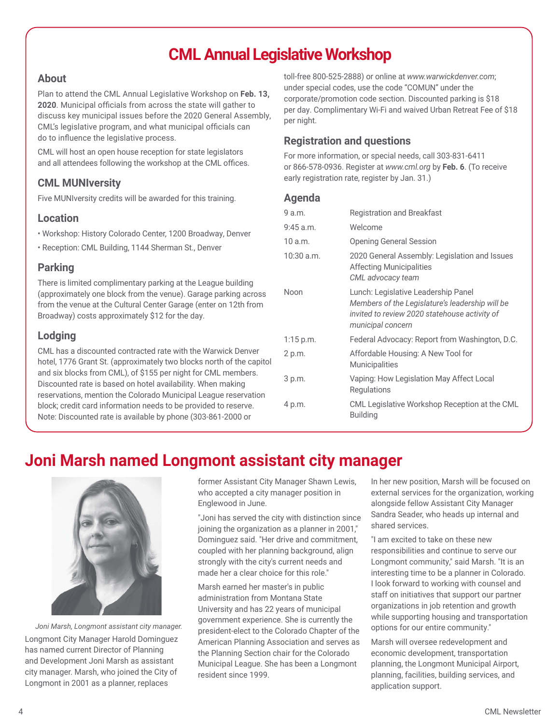# **CML Annual Legislative Workshop**

### **About**

Plan to attend the CML Annual Legislative Workshop on **Feb. 13, 2020**. Municipal officials from across the state will gather to discuss key municipal issues before the 2020 General Assembly, CML's legislative program, and what municipal officials can do to influence the legislative process.

CML will host an open house reception for state legislators and all attendees following the workshop at the CML offices.

# **CML MUNIversity**

Five MUNIversity credits will be awarded for this training.

### **Location**

- Workshop: History Colorado Center, 1200 Broadway, Denver
- Reception: CML Building, 1144 Sherman St., Denver

### **Parking**

There is limited complimentary parking at the League building (approximately one block from the venue). Garage parking across from the venue at the Cultural Center Garage (enter on 12th from Broadway) costs approximately \$12 for the day.

# **Lodging**

CML has a discounted contracted rate with the Warwick Denver hotel, 1776 Grant St. (approximately two blocks north of the capitol and six blocks from CML), of \$155 per night for CML members. Discounted rate is based on hotel availability. When making reservations, mention the Colorado Municipal League reservation block; credit card information needs to be provided to reserve. Note: Discounted rate is available by phone (303-861-2000 or

toll-free 800-525-2888) or online at *www.warwickdenver.com*; under special codes, use the code "COMUN" under the corporate/promotion code section. Discounted parking is \$18 per day. Complimentary Wi-Fi and waived Urban Retreat Fee of \$18 per night.

# **Registration and questions**

For more information, or special needs, call 303-831-6411 or 866-578-0936. Register at *www.cml.org* by **Feb. 6**. (To receive early registration rate, register by Jan. 31.)

### **Agenda**

| 9a.m.       | <b>Registration and Breakfast</b>                                                                                                                            |
|-------------|--------------------------------------------------------------------------------------------------------------------------------------------------------------|
| $9:45$ a.m. | Welcome                                                                                                                                                      |
| 10a.m.      | <b>Opening General Session</b>                                                                                                                               |
| 10:30 a.m.  | 2020 General Assembly: Legislation and Issues<br><b>Affecting Municipalities</b><br>CML advocacy team                                                        |
| Noon        | Lunch: Legislative Leadership Panel<br>Members of the Legislature's leadership will be<br>invited to review 2020 statehouse activity of<br>municipal concern |
| $1:15$ p.m. | Federal Advocacy: Report from Washington, D.C.                                                                                                               |
| 2 p.m.      | Affordable Housing: A New Tool for<br><b>Municipalities</b>                                                                                                  |
| 3 p.m.      | Vaping: How Legislation May Affect Local<br>Regulations                                                                                                      |
| 4 p.m.      | CML Legislative Workshop Reception at the CML<br><b>Building</b>                                                                                             |

# **Joni Marsh named Longmont assistant city manager**



Longmont City Manager Harold Dominguez has named current Director of Planning and Development Joni Marsh as assistant city manager. Marsh, who joined the City of Longmont in 2001 as a planner, replaces *Joni Marsh, Longmont assistant city manager.* former Assistant City Manager Shawn Lewis, who accepted a city manager position in Englewood in June.

"Joni has served the city with distinction since joining the organization as a planner in 2001," Dominguez said. "Her drive and commitment, coupled with her planning background, align strongly with the city's current needs and made her a clear choice for this role."

Marsh earned her master's in public administration from Montana State University and has 22 years of municipal government experience. She is currently the president-elect to the Colorado Chapter of the American Planning Association and serves as the Planning Section chair for the Colorado Municipal League. She has been a Longmont resident since 1999.

In her new position, Marsh will be focused on external services for the organization, working alongside fellow Assistant City Manager Sandra Seader, who heads up internal and shared services.

"I am excited to take on these new responsibilities and continue to serve our Longmont community," said Marsh. "It is an interesting time to be a planner in Colorado. I look forward to working with counsel and staff on initiatives that support our partner organizations in job retention and growth while supporting housing and transportation options for our entire community."

Marsh will oversee redevelopment and economic development, transportation planning, the Longmont Municipal Airport, planning, facilities, building services, and application support.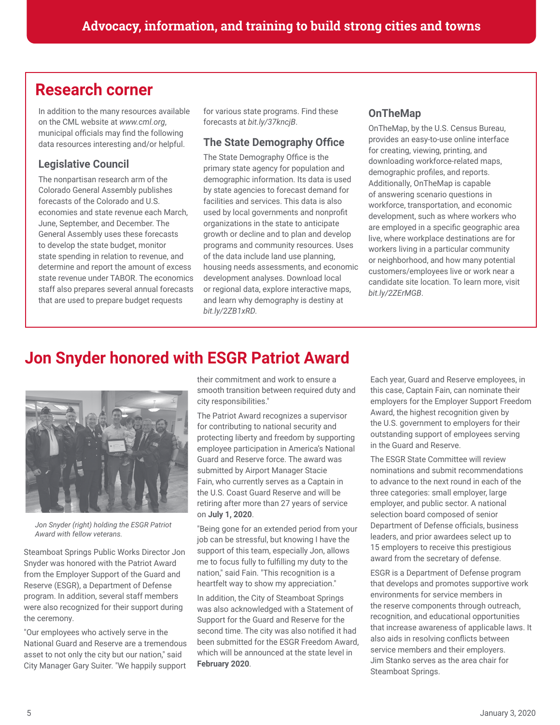# **Research corner**

In addition to the many resources available on the CML website at *www.cml.org*, municipal officials may find the following data resources interesting and/or helpful.

# **Legislative Council**

The nonpartisan research arm of the Colorado General Assembly publishes forecasts of the Colorado and U.S. economies and state revenue each March, June, September, and December. The General Assembly uses these forecasts to develop the state budget, monitor state spending in relation to revenue, and determine and report the amount of excess state revenue under TABOR. The economics staff also prepares several annual forecasts that are used to prepare budget requests

for various state programs. Find these forecasts at *bit.ly/37kncjB*.

# **The State Demography Office**

The State Demography Office is the primary state agency for population and demographic information. Its data is used by state agencies to forecast demand for facilities and services. This data is also used by local governments and nonprofit organizations in the state to anticipate growth or decline and to plan and develop programs and community resources. Uses of the data include land use planning, housing needs assessments, and economic development analyses. Download local or regional data, explore interactive maps, and learn why demography is destiny at *bit.ly/2ZB1xRD.*

# **OnTheMap**

OnTheMap, by the U.S. Census Bureau, provides an easy-to-use online interface for creating, viewing, printing, and downloading workforce-related maps, demographic profiles, and reports. Additionally, OnTheMap is capable of answering scenario questions in workforce, transportation, and economic development, such as where workers who are employed in a specific geographic area live, where workplace destinations are for workers living in a particular community or neighborhood, and how many potential customers/employees live or work near a candidate site location. To learn more, visit *bit.ly/2ZErMGB*.

# **Jon Snyder honored with ESGR Patriot Award**



*Jon Snyder (right) holding the ESGR Patriot Award with fellow veterans.*

Steamboat Springs Public Works Director Jon Snyder was honored with the Patriot Award from the Employer Support of the Guard and Reserve (ESGR), a Department of Defense program. In addition, several staff members were also recognized for their support during the ceremony.

"Our employees who actively serve in the National Guard and Reserve are a tremendous asset to not only the city but our nation," said City Manager Gary Suiter. "We happily support their commitment and work to ensure a smooth transition between required duty and city responsibilities."

The Patriot Award recognizes a supervisor for contributing to national security and protecting liberty and freedom by supporting employee participation in America's National Guard and Reserve force. The award was submitted by Airport Manager Stacie Fain, who currently serves as a Captain in the U.S. Coast Guard Reserve and will be retiring after more than 27 years of service on **July 1, 2020**.

"Being gone for an extended period from your job can be stressful, but knowing I have the support of this team, especially Jon, allows me to focus fully to fulfilling my duty to the nation," said Fain. "This recognition is a heartfelt way to show my appreciation."

In addition, the City of Steamboat Springs was also acknowledged with a Statement of Support for the Guard and Reserve for the second time. The city was also notified it had been submitted for the ESGR Freedom Award, which will be announced at the state level in **February 2020**.

Each year, Guard and Reserve employees, in this case, Captain Fain, can nominate their employers for the Employer Support Freedom Award, the highest recognition given by the U.S. government to employers for their outstanding support of employees serving in the Guard and Reserve.

The ESGR State Committee will review nominations and submit recommendations to advance to the next round in each of the three categories: small employer, large employer, and public sector. A national selection board composed of senior Department of Defense officials, business leaders, and prior awardees select up to 15 employers to receive this prestigious award from the secretary of defense.

ESGR is a Department of Defense program that develops and promotes supportive work environments for service members in the reserve components through outreach, recognition, and educational opportunities that increase awareness of applicable laws. It also aids in resolving conflicts between service members and their employers. Jim Stanko serves as the area chair for Steamboat Springs.